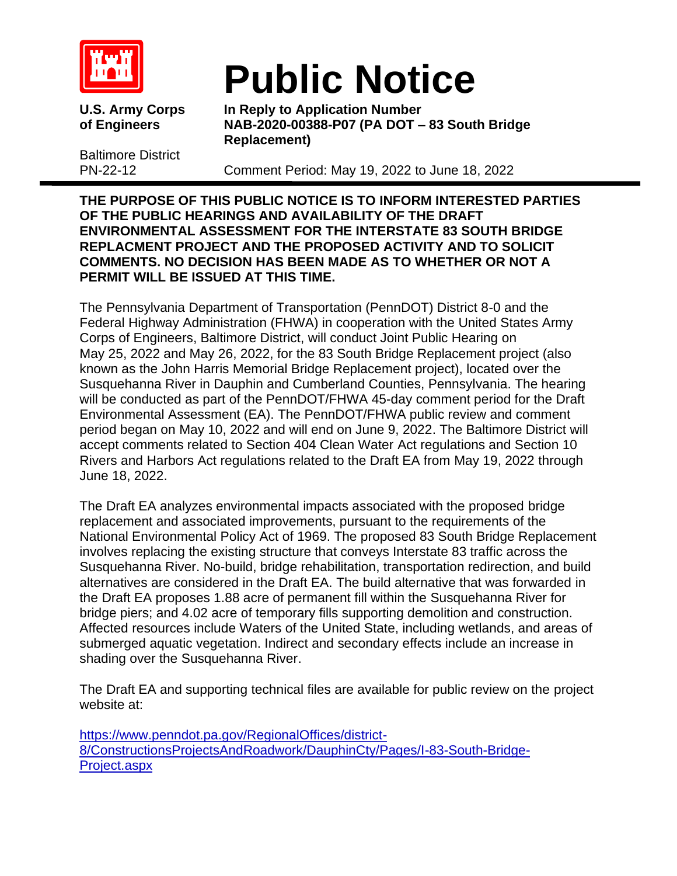

Baltimore District

## **Public Notice**

**U.S. Army Corps In Reply to Application Number of Engineers NAB-2020-00388-P07 (PA DOT – 83 South Bridge Replacement)**

PN-22-12 Comment Period: May 19, 2022 to June 18, 2022

**THE PURPOSE OF THIS PUBLIC NOTICE IS TO INFORM INTERESTED PARTIES OF THE PUBLIC HEARINGS AND AVAILABILITY OF THE DRAFT ENVIRONMENTAL ASSESSMENT FOR THE INTERSTATE 83 SOUTH BRIDGE REPLACMENT PROJECT AND THE PROPOSED ACTIVITY AND TO SOLICIT COMMENTS. NO DECISION HAS BEEN MADE AS TO WHETHER OR NOT A PERMIT WILL BE ISSUED AT THIS TIME.**

The Pennsylvania Department of Transportation (PennDOT) District 8-0 and the Federal Highway Administration (FHWA) in cooperation with the United States Army Corps of Engineers, Baltimore District, will conduct Joint Public Hearing on May 25, 2022 and May 26, 2022, for the 83 South Bridge Replacement project (also known as the John Harris Memorial Bridge Replacement project), located over the Susquehanna River in Dauphin and Cumberland Counties, Pennsylvania. The hearing will be conducted as part of the PennDOT/FHWA 45-day comment period for the Draft Environmental Assessment (EA). The PennDOT/FHWA public review and comment period began on May 10, 2022 and will end on June 9, 2022. The Baltimore District will accept comments related to Section 404 Clean Water Act regulations and Section 10 Rivers and Harbors Act regulations related to the Draft EA from May 19, 2022 through June 18, 2022.

The Draft EA analyzes environmental impacts associated with the proposed bridge replacement and associated improvements, pursuant to the requirements of the National Environmental Policy Act of 1969. The proposed 83 South Bridge Replacement involves replacing the existing structure that conveys Interstate 83 traffic across the Susquehanna River. No-build, bridge rehabilitation, transportation redirection, and build alternatives are considered in the Draft EA. The build alternative that was forwarded in the Draft EA proposes 1.88 acre of permanent fill within the Susquehanna River for bridge piers; and 4.02 acre of temporary fills supporting demolition and construction. Affected resources include Waters of the United State, including wetlands, and areas of submerged aquatic vegetation. Indirect and secondary effects include an increase in shading over the Susquehanna River.

The Draft EA and supporting technical files are available for public review on the project website at:

[https://www.penndot.pa.gov/RegionalOffices/district-](https://www.penndot.pa.gov/RegionalOffices/district-8/ConstructionsProjectsAndRoadwork/DauphinCty/Pages/I-83-South-Bridge-Project.aspx)[8/ConstructionsProjectsAndRoadwork/DauphinCty/Pages/I-83-South-Bridge-](https://www.penndot.pa.gov/RegionalOffices/district-8/ConstructionsProjectsAndRoadwork/DauphinCty/Pages/I-83-South-Bridge-Project.aspx)[Project.aspx](https://www.penndot.pa.gov/RegionalOffices/district-8/ConstructionsProjectsAndRoadwork/DauphinCty/Pages/I-83-South-Bridge-Project.aspx)